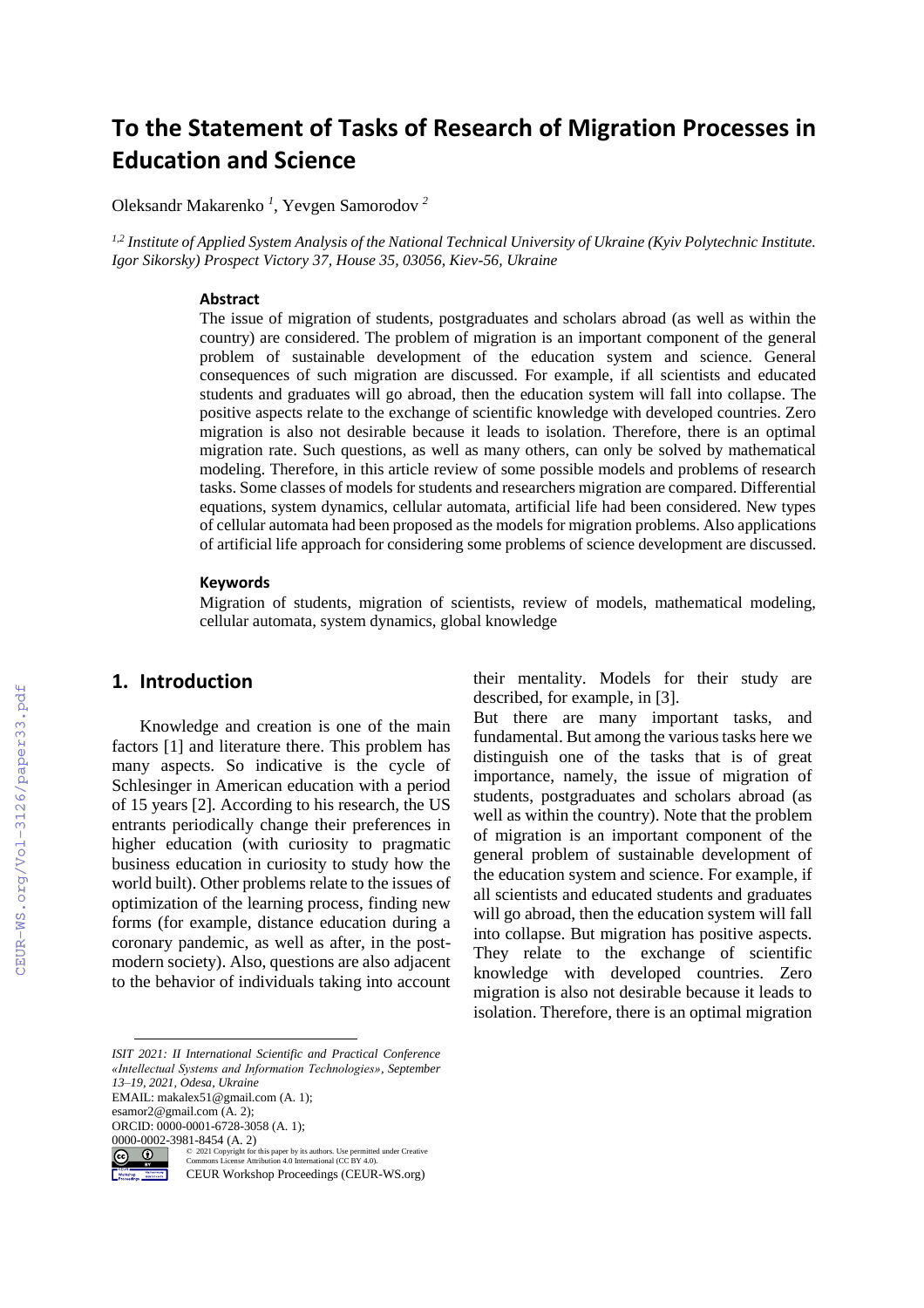# **To the Statement of Tasks of Research of Migration Processes in Education and Science**

Oleksandr Makarenko *<sup>1</sup>* , Yevgen Samorodov *<sup>2</sup>*

*1,2 Institute of Applied System Analysis of the National Technical University of Ukraine (Kyiv Polytechnic Institute. Igor Sikorsky) Prospect Victory 37, House 35, 03056, Kiev-56, Ukraine*

#### **Abstract**

The issue of migration of students, postgraduates and scholars abroad (as well as within the country) are considered. The problem of migration is an important component of the general problem of sustainable development of the education system and science. General consequences of such migration are discussed. For example, if all scientists and educated students and graduates will go abroad, then the education system will fall into collapse. The positive aspects relate to the exchange of scientific knowledge with developed countries. Zero migration is also not desirable because it leads to isolation. Therefore, there is an optimal migration rate. Such questions, as well as many others, can only be solved by mathematical modeling. Therefore, in this article review of some possible models and problems of research tasks. Some classes of models for students and researchers migration are compared. Differential equations, system dynamics, cellular automata, artificial life had been considered. New types of cellular automata had been proposed as the models for migration problems. Also applications of artificial life approach for considering some problems of science development are discussed.

#### **Keywords 1**

Migration of students, migration of scientists, review of models, mathematical modeling, cellular automata, system dynamics, global knowledge

#### **1. Introduction**

Knowledge and creation is one of the main factors [1] and literature there. This problem has many aspects. So indicative is the cycle of Schlesinger in American education with a period of 15 years [2]. According to his research, the US entrants periodically change their preferences in higher education (with curiosity to pragmatic business education in curiosity to study how the world built). Other problems relate to the issues of optimization of the learning process, finding new forms (for example, distance education during a coronary pandemic, as well as after, in the postmodern society). Also, questions are also adjacent to the behavior of individuals taking into account

EMAIL: makalex51@gmail.com (A. 1);

esamor2@gmail.com (A. 2); ORCID: 0000-0001-6728-3058 (A. 1);

<sup>0000-0002-3981-8454 (</sup>A. 2)<br>  $\begin{array}{cc}\n\text{(c)} & \text{(d)} \\
\hline\n\text{(e)} & \text{(e)} \\
\hline\n\text{(f)} & \text{(c)} \\
\hline\n\text{(c)} & \text{(c)} \\
\text{(c)} & \text{(c)} \\
\text{(c)} & \text{(c)} \\
\text{(c)} & \text{(c)} \\
\text{(d)} & \text{(d)} \\
\text{(e)} & \text{(f)} \\
\text{(e)} & \text{(f)} \\
\text{(f)} & \text{(f)} \\
\text{(g)} & \text{(h)} \\
\text{(i)} & \text{(i)} \\
\text{(j)} & \text{(j)} \\
\text{(k$ 



©️ 2021 Copyright for this paper by its authors. Use permitted under Creative Commons License Attribution 4.0 International (CC BY 4.0).

CEUR Workshop Proceedings (CEUR-WS.org)

their mentality. Models for their study are described, for example, in [3].

But there are many important tasks, and fundamental. But among the various tasks here we distinguish one of the tasks that is of great importance, namely, the issue of migration of students, postgraduates and scholars abroad (as well as within the country). Note that the problem of migration is an important component of the general problem of sustainable development of the education system and science. For example, if all scientists and educated students and graduates will go abroad, then the education system will fall into collapse. But migration has positive aspects. They relate to the exchange of scientific knowledge with developed countries. Zero migration is also not desirable because it leads to isolation. Therefore, there is an optimal migration

 *ISIT 2021: II International Scientific and Practical Conference «Intellectual Systems and Information Technologies», September 13–19, 2021, Odesa, Ukraine*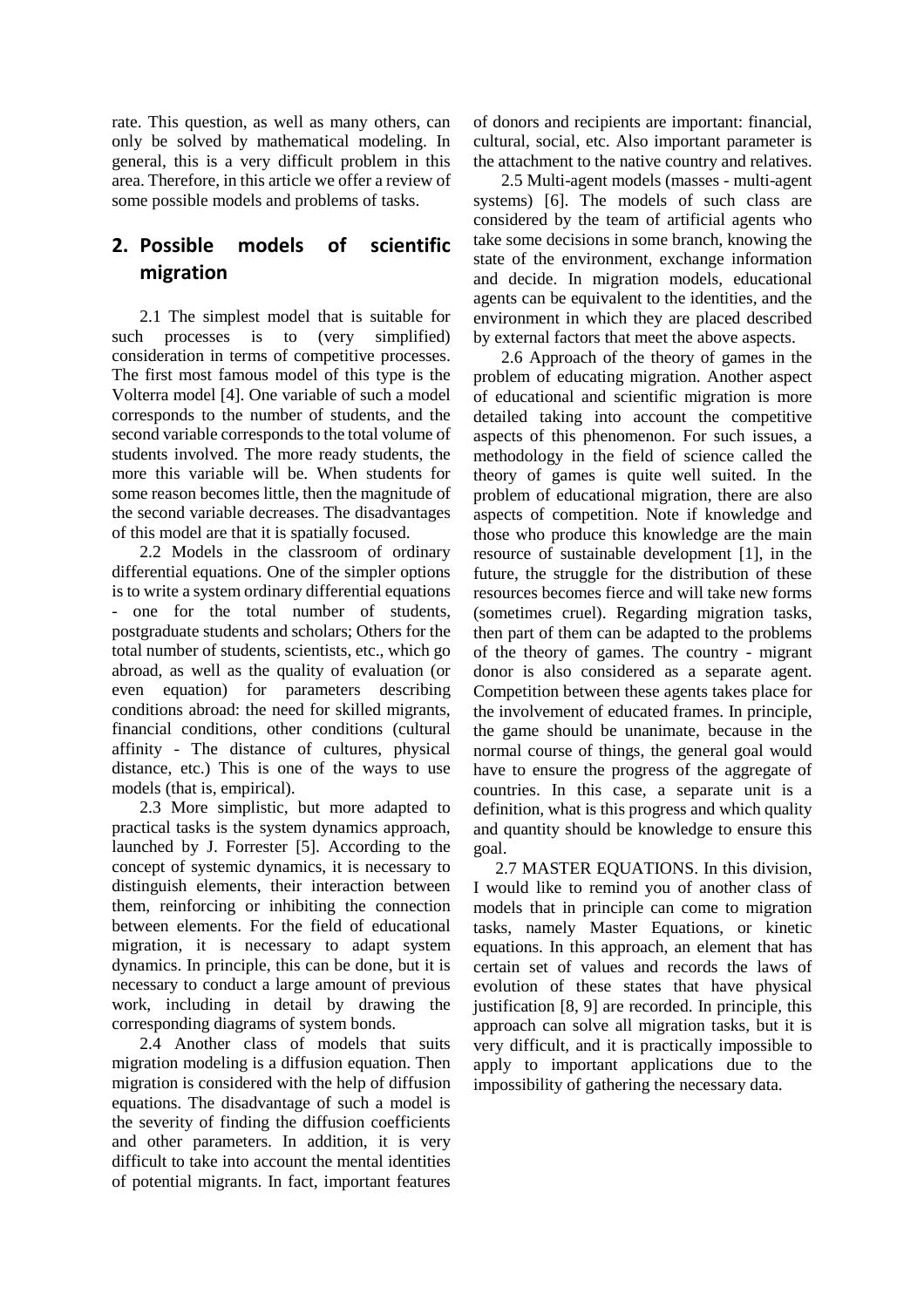rate. This question, as well as many others, can only be solved by mathematical modeling. In general, this is a very difficult problem in this area. Therefore, in this article we offer a review of some possible models and problems of tasks.

# **2. Possible models of scientific migration**

2.1 The simplest model that is suitable for such processes is to (very simplified) consideration in terms of competitive processes. The first most famous model of this type is the Volterra model [4]. One variable of such a model corresponds to the number of students, and the second variable corresponds to the total volume of students involved. The more ready students, the more this variable will be. When students for some reason becomes little, then the magnitude of the second variable decreases. The disadvantages of this model are that it is spatially focused.

2.2 Models in the classroom of ordinary differential equations. One of the simpler options is to write a system ordinary differential equations - one for the total number of students, postgraduate students and scholars; Others for the total number of students, scientists, etc., which go abroad, as well as the quality of evaluation (or even equation) for parameters describing conditions abroad: the need for skilled migrants, financial conditions, other conditions (cultural affinity - The distance of cultures, physical distance, etc.) This is one of the ways to use models (that is, empirical).

2.3 More simplistic, but more adapted to practical tasks is the system dynamics approach, launched by J. Forrester [5]. According to the concept of systemic dynamics, it is necessary to distinguish elements, their interaction between them, reinforcing or inhibiting the connection between elements. For the field of educational migration, it is necessary to adapt system dynamics. In principle, this can be done, but it is necessary to conduct a large amount of previous work, including in detail by drawing the corresponding diagrams of system bonds.

2.4 Another class of models that suits migration modeling is a diffusion equation. Then migration is considered with the help of diffusion equations. The disadvantage of such a model is the severity of finding the diffusion coefficients and other parameters. In addition, it is very difficult to take into account the mental identities of potential migrants. In fact, important features of donors and recipients are important: financial, cultural, social, etc. Also important parameter is the attachment to the native country and relatives.

2.5 Multi-agent models (masses - multi-agent systems) [6]. The models of such class are considered by the team of artificial agents who take some decisions in some branch, knowing the state of the environment, exchange information and decide. In migration models, educational agents can be equivalent to the identities, and the environment in which they are placed described by external factors that meet the above aspects.

2.6 Approach of the theory of games in the problem of educating migration. Another aspect of educational and scientific migration is more detailed taking into account the competitive aspects of this phenomenon. For such issues, a methodology in the field of science called the theory of games is quite well suited. In the problem of educational migration, there are also aspects of competition. Note if knowledge and those who produce this knowledge are the main resource of sustainable development [1], in the future, the struggle for the distribution of these resources becomes fierce and will take new forms (sometimes cruel). Regarding migration tasks, then part of them can be adapted to the problems of the theory of games. The country - migrant donor is also considered as a separate agent. Competition between these agents takes place for the involvement of educated frames. In principle, the game should be unanimate, because in the normal course of things, the general goal would have to ensure the progress of the aggregate of countries. In this case, a separate unit is a definition, what is this progress and which quality and quantity should be knowledge to ensure this goal.

2.7 MASTER EQUATIONS. In this division, I would like to remind you of another class of models that in principle can come to migration tasks, namely Master Equations, or kinetic equations. In this approach, an element that has certain set of values and records the laws of evolution of these states that have physical justification [8, 9] are recorded. In principle, this approach can solve all migration tasks, but it is very difficult, and it is practically impossible to apply to important applications due to the impossibility of gathering the necessary data.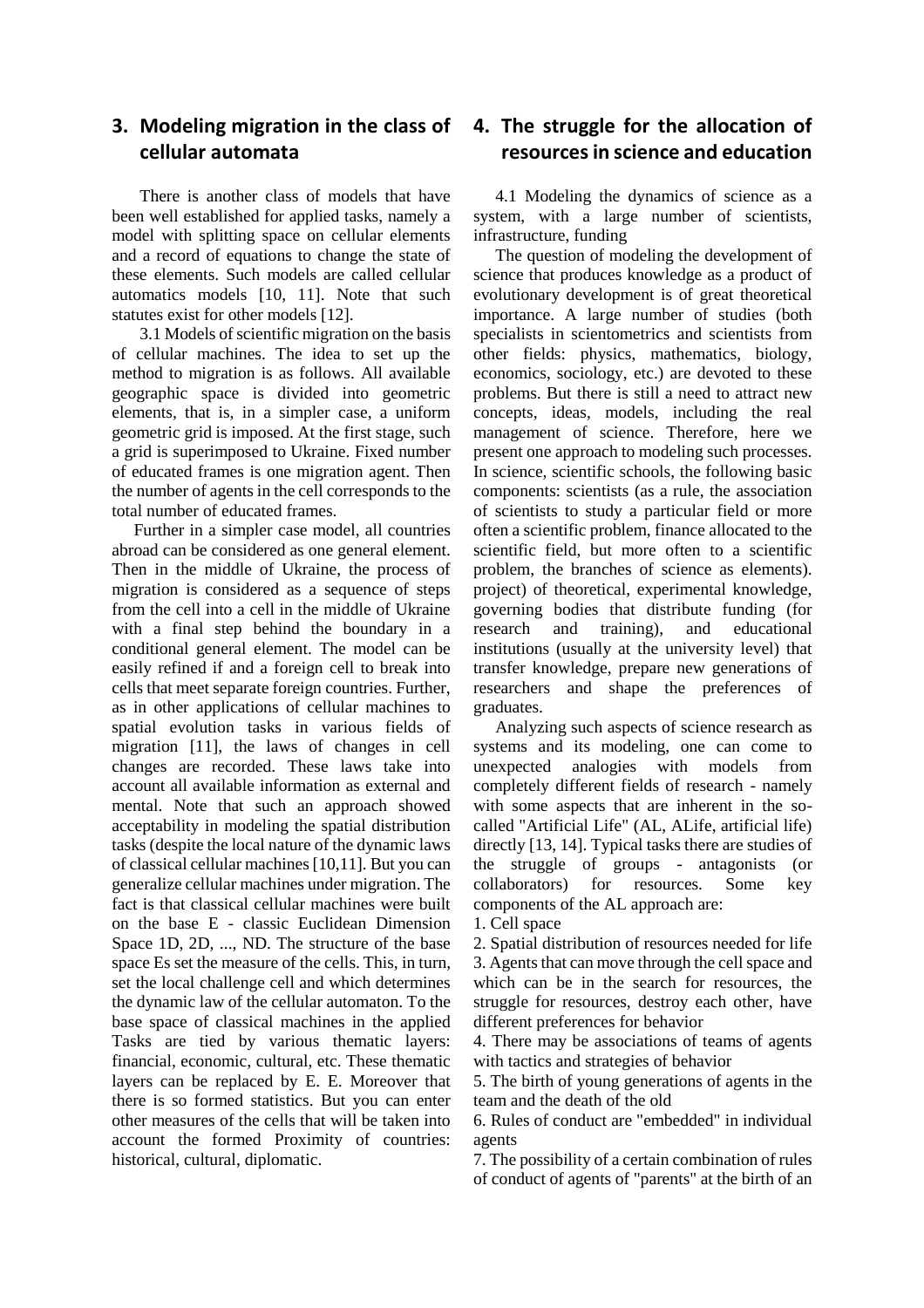### **3. Modeling migration in the class of cellular automata**

There is another class of models that have been well established for applied tasks, namely a model with splitting space on cellular elements and a record of equations to change the state of these elements. Such models are called cellular automatics models [10, 11]. Note that such statutes exist for other models [12].

3.1 Models of scientific migration on the basis of cellular machines. The idea to set up the method to migration is as follows. All available geographic space is divided into geometric elements, that is, in a simpler case, a uniform geometric grid is imposed. At the first stage, such a grid is superimposed to Ukraine. Fixed number of educated frames is one migration agent. Then the number of agents in the cell corresponds to the total number of educated frames.

Further in a simpler case model, all countries abroad can be considered as one general element. Then in the middle of Ukraine, the process of migration is considered as a sequence of steps from the cell into a cell in the middle of Ukraine with a final step behind the boundary in a conditional general element. The model can be easily refined if and a foreign cell to break into cells that meet separate foreign countries. Further, as in other applications of cellular machines to spatial evolution tasks in various fields of migration [11], the laws of changes in cell changes are recorded. These laws take into account all available information as external and mental. Note that such an approach showed acceptability in modeling the spatial distribution tasks (despite the local nature of the dynamic laws of classical cellular machines [10,11]. But you can generalize cellular machines under migration. The fact is that classical cellular machines were built on the base E - classic Euclidean Dimension Space 1D, 2D, ..., ND. The structure of the base space Es set the measure of the cells. This, in turn, set the local challenge cell and which determines the dynamic law of the cellular automaton. To the base space of classical machines in the applied Tasks are tied by various thematic layers: financial, economic, cultural, etc. These thematic layers can be replaced by E. E. Moreover that there is so formed statistics. But you can enter other measures of the cells that will be taken into account the formed Proximity of countries: historical, cultural, diplomatic.

### **4. The struggle for the allocation of resources in science and education**

4.1 Modeling the dynamics of science as a system, with a large number of scientists, infrastructure, funding

The question of modeling the development of science that produces knowledge as a product of evolutionary development is of great theoretical importance. A large number of studies (both specialists in scientometrics and scientists from other fields: physics, mathematics, biology, economics, sociology, etc.) are devoted to these problems. But there is still a need to attract new concepts, ideas, models, including the real management of science. Therefore, here we present one approach to modeling such processes. In science, scientific schools, the following basic components: scientists (as a rule, the association of scientists to study a particular field or more often a scientific problem, finance allocated to the scientific field, but more often to a scientific problem, the branches of science as elements). project) of theoretical, experimental knowledge, governing bodies that distribute funding (for research and training), and educational institutions (usually at the university level) that transfer knowledge, prepare new generations of researchers and shape the preferences of graduates.

Analyzing such aspects of science research as systems and its modeling, one can come to unexpected analogies with models from completely different fields of research - namely with some aspects that are inherent in the socalled "Artificial Life" (AL, ALife, artificial life) directly [13, 14]. Typical tasks there are studies of the struggle of groups - antagonists (or collaborators) for resources. Some key components of the AL approach are:

1. Cell space

2. Spatial distribution of resources needed for life 3. Agents that can move through the cell space and which can be in the search for resources, the struggle for resources, destroy each other, have different preferences for behavior

4. There may be associations of teams of agents with tactics and strategies of behavior

5. The birth of young generations of agents in the team and the death of the old

6. Rules of conduct are "embedded" in individual agents

7. The possibility of a certain combination of rules of conduct of agents of "parents" at the birth of an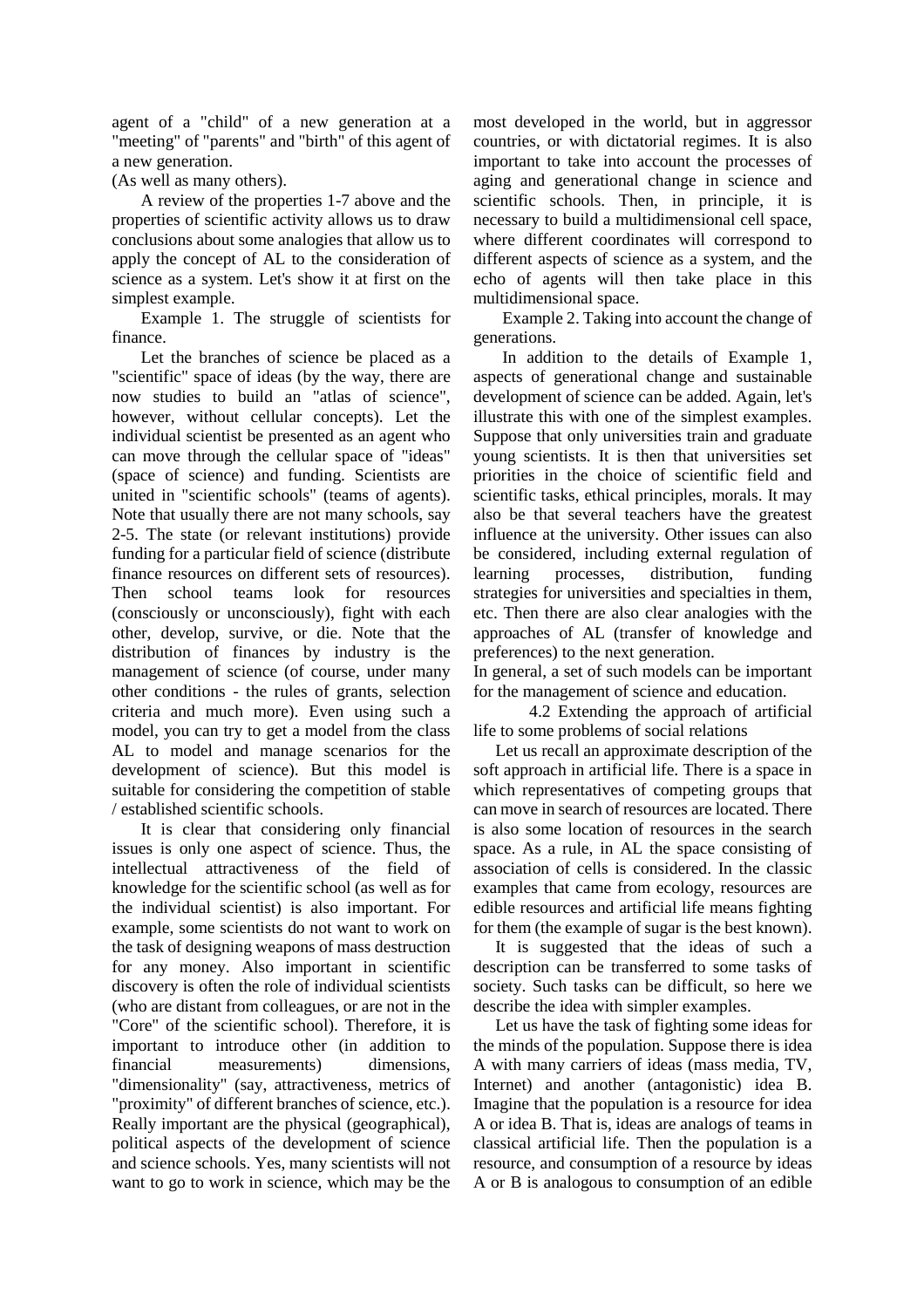agent of a "child" of a new generation at a "meeting" of "parents" and "birth" of this agent of a new generation.

(As well as many others).

A review of the properties 1-7 above and the properties of scientific activity allows us to draw conclusions about some analogies that allow us to apply the concept of AL to the consideration of science as a system. Let's show it at first on the simplest example.

Example 1. The struggle of scientists for finance.

Let the branches of science be placed as a "scientific" space of ideas (by the way, there are now studies to build an "atlas of science", however, without cellular concepts). Let the individual scientist be presented as an agent who can move through the cellular space of "ideas" (space of science) and funding. Scientists are united in "scientific schools" (teams of agents). Note that usually there are not many schools, say 2-5. The state (or relevant institutions) provide funding for a particular field of science (distribute finance resources on different sets of resources). Then school teams look for resources (consciously or unconsciously), fight with each other, develop, survive, or die. Note that the distribution of finances by industry is the management of science (of course, under many other conditions - the rules of grants, selection criteria and much more). Even using such a model, you can try to get a model from the class AL to model and manage scenarios for the development of science). But this model is suitable for considering the competition of stable / established scientific schools.

It is clear that considering only financial issues is only one aspect of science. Thus, the intellectual attractiveness of the field of knowledge for the scientific school (as well as for the individual scientist) is also important. For example, some scientists do not want to work on the task of designing weapons of mass destruction for any money. Also important in scientific discovery is often the role of individual scientists (who are distant from colleagues, or are not in the "Core" of the scientific school). Therefore, it is important to introduce other (in addition to financial measurements) dimensions, "dimensionality" (say, attractiveness, metrics of "proximity" of different branches of science, etc.). Really important are the physical (geographical), political aspects of the development of science and science schools. Yes, many scientists will not want to go to work in science, which may be the

most developed in the world, but in aggressor countries, or with dictatorial regimes. It is also important to take into account the processes of aging and generational change in science and scientific schools. Then, in principle, it is necessary to build a multidimensional cell space, where different coordinates will correspond to different aspects of science as a system, and the echo of agents will then take place in this multidimensional space.

Example 2. Taking into account the change of generations.

In addition to the details of Example 1, aspects of generational change and sustainable development of science can be added. Again, let's illustrate this with one of the simplest examples. Suppose that only universities train and graduate young scientists. It is then that universities set priorities in the choice of scientific field and scientific tasks, ethical principles, morals. It may also be that several teachers have the greatest influence at the university. Other issues can also be considered, including external regulation of learning processes, distribution, funding strategies for universities and specialties in them, etc. Then there are also clear analogies with the approaches of AL (transfer of knowledge and preferences) to the next generation.

In general, a set of such models can be important for the management of science and education.

4.2 Extending the approach of artificial life to some problems of social relations

Let us recall an approximate description of the soft approach in artificial life. There is a space in which representatives of competing groups that can move in search of resources are located. There is also some location of resources in the search space. As a rule, in AL the space consisting of association of cells is considered. In the classic examples that came from ecology, resources are edible resources and artificial life means fighting for them (the example of sugar is the best known).

It is suggested that the ideas of such a description can be transferred to some tasks of society. Such tasks can be difficult, so here we describe the idea with simpler examples.

Let us have the task of fighting some ideas for the minds of the population. Suppose there is idea A with many carriers of ideas (mass media, TV, Internet) and another (antagonistic) idea B. Imagine that the population is a resource for idea A or idea B. That is, ideas are analogs of teams in classical artificial life. Then the population is a resource, and consumption of a resource by ideas A or B is analogous to consumption of an edible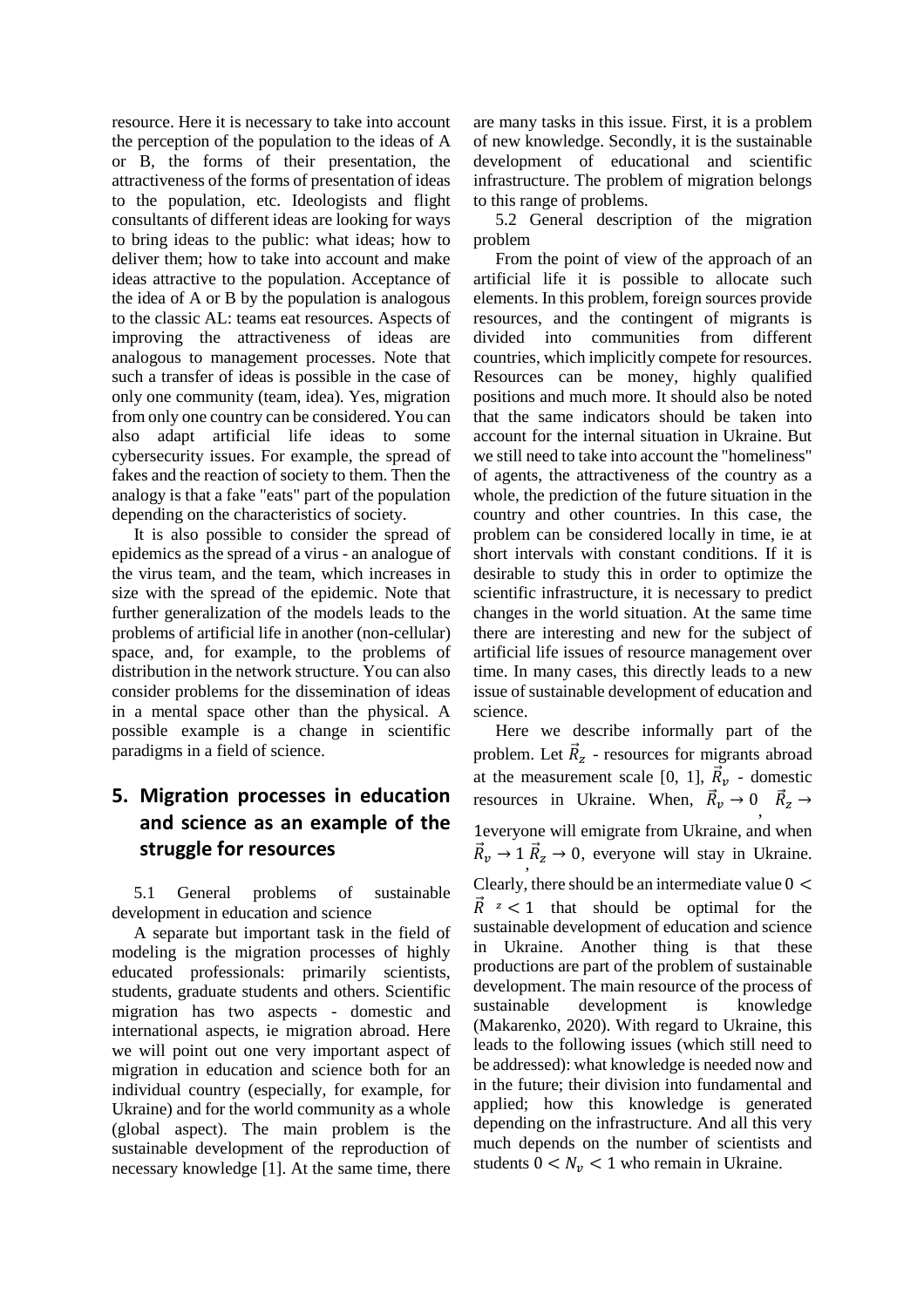resource. Here it is necessary to take into account the perception of the population to the ideas of A or B, the forms of their presentation, the attractiveness of the forms of presentation of ideas to the population, etc. Ideologists and flight consultants of different ideas are looking for ways to bring ideas to the public: what ideas; how to deliver them; how to take into account and make ideas attractive to the population. Acceptance of the idea of A or B by the population is analogous to the classic AL: teams eat resources. Aspects of improving the attractiveness of ideas are analogous to management processes. Note that such a transfer of ideas is possible in the case of only one community (team, idea). Yes, migration from only one country can be considered. You can also adapt artificial life ideas to some cybersecurity issues. For example, the spread of fakes and the reaction of society to them. Then the analogy is that a fake "eats" part of the population depending on the characteristics of society.

It is also possible to consider the spread of epidemics as the spread of a virus - an analogue of the virus team, and the team, which increases in size with the spread of the epidemic. Note that further generalization of the models leads to the problems of artificial life in another (non-cellular) space, and, for example, to the problems of distribution in the network structure. You can also consider problems for the dissemination of ideas in a mental space other than the physical. A possible example is a change in scientific paradigms in a field of science.

## **5. Migration processes in education and science as an example of the struggle for resources**

5.1 General problems of sustainable development in education and science

A separate but important task in the field of modeling is the migration processes of highly educated professionals: primarily scientists, students, graduate students and others. Scientific migration has two aspects - domestic and international aspects, ie migration abroad. Here we will point out one very important aspect of migration in education and science both for an individual country (especially, for example, for Ukraine) and for the world community as a whole (global aspect). The main problem is the sustainable development of the reproduction of necessary knowledge [1]. At the same time, there

are many tasks in this issue. First, it is a problem of new knowledge. Secondly, it is the sustainable development of educational and scientific infrastructure. The problem of migration belongs to this range of problems.

5.2 General description of the migration problem

From the point of view of the approach of an artificial life it is possible to allocate such elements. In this problem, foreign sources provide resources, and the contingent of migrants is divided into communities from different countries, which implicitly compete for resources. Resources can be money, highly qualified positions and much more. It should also be noted that the same indicators should be taken into account for the internal situation in Ukraine. But we still need to take into account the "homeliness" of agents, the attractiveness of the country as a whole, the prediction of the future situation in the country and other countries. In this case, the problem can be considered locally in time, ie at short intervals with constant conditions. If it is desirable to study this in order to optimize the scientific infrastructure, it is necessary to predict changes in the world situation. At the same time there are interesting and new for the subject of artificial life issues of resource management over time. In many cases, this directly leads to a new issue of sustainable development of education and science.

Here we describe informally part of the problem. Let  $\vec{R}_z$  - resources for migrants abroad at the measurement scale [0, 1],  $\vec{R}_v$  - domestic resources in Ukraine. When,  $\vec{R}_v \to 0$ ,  $\vec{R}_z \to$ 1everyone will emigrate from Ukraine, and when  $\vec{R}_v \rightarrow 1$ ,  $\vec{R}_z \rightarrow 0$ , everyone will stay in Ukraine. Clearly, there should be an intermediate value  $0 <$  $\vec{R}$  z < 1 that should be optimal for the sustainable development of education and science in Ukraine. Another thing is that these productions are part of the problem of sustainable development. The main resource of the process of sustainable development is knowledge (Makarenko, 2020). With regard to Ukraine, this leads to the following issues (which still need to be addressed): what knowledge is needed now and in the future; their division into fundamental and applied; how this knowledge is generated depending on the infrastructure. And all this very much depends on the number of scientists and students  $0 < N_v < 1$  who remain in Ukraine.